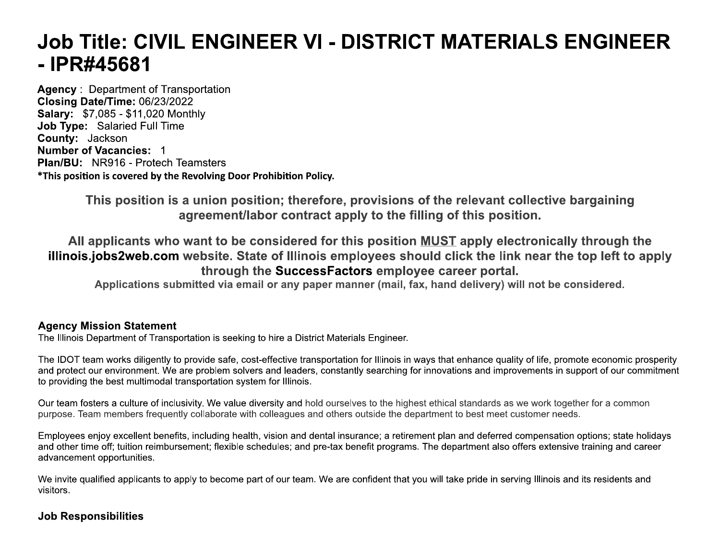# **Job Title: CIVIL ENGINEER VI - DISTRICT MATERIALS ENGINEER** -IPR#45681

**Agency: Department of Transportation** Closing Date/Time: 06/23/2022 **Salary: \$7,085 - \$11,020 Monthly** Job Type: Salaried Full Time County: Jackson **Number of Vacancies: 1 Plan/BU: NR916 - Protech Teamsters** \*This position is covered by the Revolving Door Prohibition Policy.

> This position is a union position; therefore, provisions of the relevant collective bargaining agreement/labor contract apply to the filling of this position.

All applicants who want to be considered for this position MUST apply electronically through the illinois.jobs2web.com website. State of Illinois employees should click the link near the top left to apply through the SuccessFactors employee career portal.

Applications submitted via email or any paper manner (mail, fax, hand delivery) will not be considered.

## **Agency Mission Statement**

The Illinois Department of Transportation is seeking to hire a District Materials Engineer.

The IDOT team works diligently to provide safe, cost-effective transportation for Illinois in ways that enhance quality of life, promote economic prosperity and protect our environment. We are problem solvers and leaders, constantly searching for innovations and improvements in support of our commitment to providing the best multimodal transportation system for Illinois.

Our team fosters a culture of inclusivity. We value diversity and hold ourselves to the highest ethical standards as we work together for a common purpose. Team members frequently collaborate with colleagues and others outside the department to best meet customer needs.

Employees enjoy excellent benefits, including health, vision and dental insurance; a retirement plan and deferred compensation options; state holidays and other time off; tuition reimbursement; flexible schedules; and pre-tax benefit programs. The department also offers extensive training and career advancement opportunities.

We invite qualified applicants to apply to become part of our team. We are confident that you will take pride in serving Illinois and its residents and visitors.

# **Job Responsibilities**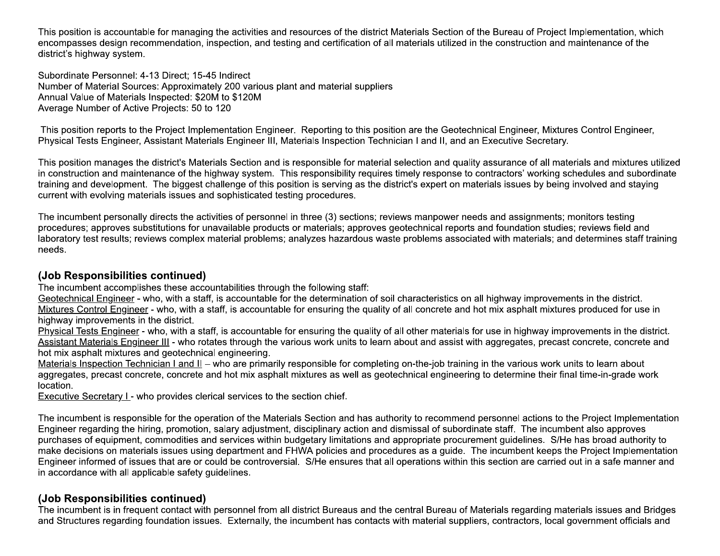This position is accountable for managing the activities and resources of the district Materials Section of the Bureau of Project Implementation, which encompasses design recommendation, inspection, and testing and certification of all materials utilized in the construction and maintenance of the district's highway system.

Subordinate Personnel: 4-13 Direct; 15-45 Indirect Number of Material Sources: Approximately 200 various plant and material suppliers Annual Value of Materials Inspected: \$20M to \$120M Average Number of Active Projects: 50 to 120

This position reports to the Project Implementation Engineer. Reporting to this position are the Geotechnical Engineer, Mixtures Control Engineer, Physical Tests Engineer, Assistant Materials Engineer III, Materials Inspection Technician I and II, and an Executive Secretary.

This position manages the district's Materials Section and is responsible for material selection and quality assurance of all materials and mixtures utilized in construction and maintenance of the highway system. This responsibility requires timely response to contractors' working schedules and subordinate training and development. The biggest challenge of this position is serving as the district's expert on materials issues by being involved and staying current with evolving materials issues and sophisticated testing procedures.

The incumbent personally directs the activities of personnel in three (3) sections; reviews manpower needs and assignments; monitors testing procedures; approves substitutions for unavailable products or materials; approves geotechnical reports and foundation studies; reviews field and laboratory test results; reviews complex material problems; analyzes hazardous waste problems associated with materials; and determines staff training needs.

## (Job Responsibilities continued)

The incumbent accomplishes these accountabilities through the following staff:

Geotechnical Engineer - who, with a staff, is accountable for the determination of soil characteristics on all highway improvements in the district. Mixtures Control Engineer - who, with a staff, is accountable for ensuring the quality of all concrete and hot mix asphalt mixtures produced for use in highway improvements in the district.

Physical Tests Engineer - who, with a staff, is accountable for ensuring the quality of all other materials for use in highway improvements in the district. Assistant Materials Engineer III - who rotates through the various work units to learn about and assist with aggregates, precast concrete, concrete and hot mix asphalt mixtures and geotechnical engineering.

Materials Inspection Technician I and II - who are primarily responsible for completing on-the-job training in the various work units to learn about aggregates, precast concrete, concrete and hot mix asphalt mixtures as well as geotechnical engineering to determine their final time-in-grade work location.

**Executive Secretary I** - who provides clerical services to the section chief.

The incumbent is responsible for the operation of the Materials Section and has authority to recommend personnel actions to the Project Implementation Engineer regarding the hiring, promotion, salary adjustment, disciplinary action and dismissal of subordinate staff. The incumbent also approves purchases of equipment, commodities and services within budgetary limitations and appropriate procurement guidelines. S/He has broad authority to make decisions on materials issues using department and FHWA policies and procedures as a quide. The incumbent keeps the Project Implementation Engineer informed of issues that are or could be controversial. S/He ensures that all operations within this section are carried out in a safe manner and in accordance with all applicable safety guidelines.

# (Job Responsibilities continued)

The incumbent is in frequent contact with personnel from all district Bureaus and the central Bureau of Materials regarding materials issues and Bridges and Structures regarding foundation issues. Externally, the incumbent has contacts with material suppliers, contractors, local government officials and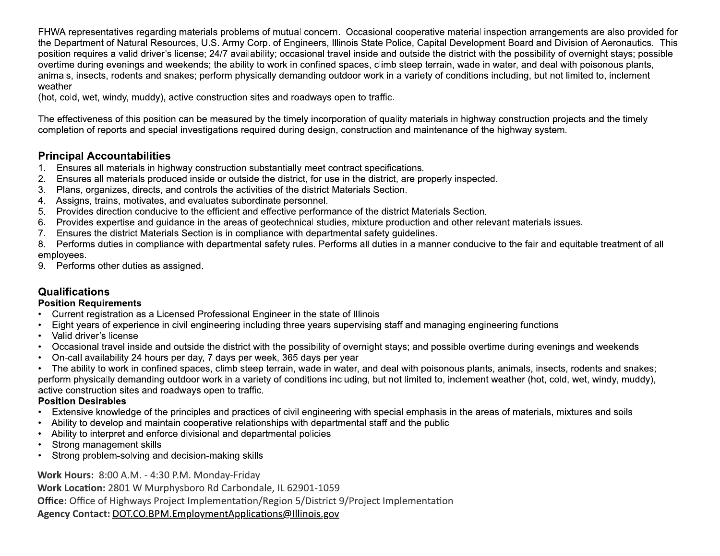FHWA representatives regarding materials problems of mutual concern. Occasional cooperative material inspection arrangements are also provided for the Department of Natural Resources, U.S. Army Corp. of Engineers, Illinois State Police, Capital Development Board and Division of Aeronautics. This position requires a valid driver's license; 24/7 availability; occasional travel inside and outside the district with the possibility of overnight stays; possible overtime during evenings and weekends; the ability to work in confined spaces, climb steep terrain, wade in water, and deal with poisonous plants, animals, insects, rodents and snakes; perform physically demanding outdoor work in a variety of conditions including, but not limited to, inclement weather

(hot, cold, wet, windy, muddy), active construction sites and roadways open to traffic.

The effectiveness of this position can be measured by the timely incorporation of quality materials in highway construction projects and the timely completion of reports and special investigations required during design, construction and maintenance of the highway system.

# **Principal Accountabilities**

- 1. Ensures all materials in highway construction substantially meet contract specifications.
- 2. Ensures all materials produced inside or outside the district, for use in the district, are properly inspected.
- Plans, organizes, directs, and controls the activities of the district Materials Section. 3.
- 4. Assigns, trains, motivates, and evaluates subordinate personnel.
- Provides direction conducive to the efficient and effective performance of the district Materials Section.  $5.$
- Provides expertise and quidance in the areas of geotechnical studies, mixture production and other relevant materials issues.  $6.$
- Ensures the district Materials Section is in compliance with departmental safety guidelines.  $7.$
- Performs duties in compliance with departmental safety rules. Performs all duties in a manner conducive to the fair and equitable treatment of all 8. employees.
- 9. Performs other duties as assigned.

# **Qualifications**

## **Position Requirements**

- Current registration as a Licensed Professional Engineer in the state of Illinois
- Eight years of experience in civil engineering including three years supervising staff and managing engineering functions  $\bullet$
- Valid driver's license
- Occasional travel inside and outside the district with the possibility of overnight stays; and possible overtime during evenings and weekends  $\bullet$
- On-call availability 24 hours per day, 7 days per week, 365 days per year

• The ability to work in confined spaces, climb steep terrain, wade in water, and deal with poisonous plants, animals, insects, rodents and snakes; perform physically demanding outdoor work in a variety of conditions including, but not limited to, inclement weather (hot, cold, wet, windy, muddy), active construction sites and roadways open to traffic.

## **Position Desirables**

- Extensive knowledge of the principles and practices of civil engineering with special emphasis in the areas of materials, mixtures and soils
- Ability to develop and maintain cooperative relationships with departmental staff and the public
- Ability to interpret and enforce divisional and departmental policies
- Strong management skills
- Strong problem-solving and decision-making skills

Work Hours: 8:00 A.M. - 4:30 P.M. Monday-Friday

Work Location: 2801 W Murphysboro Rd Carbondale, IL 62901-1059

**Office:** Office of Highways Project Implementation/Region 5/District 9/Project Implementation

Agency Contact: DOT.CO.BPM.EmploymentApplications@Illinois.gov